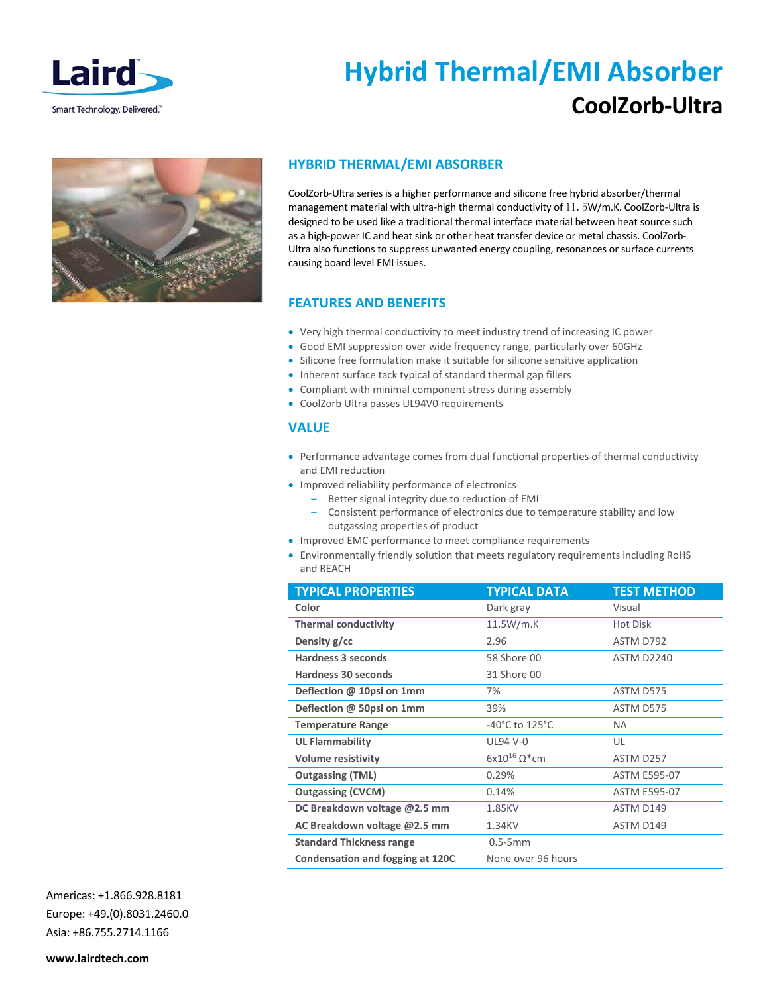

Smart Technology. Delivered."

# **Hybrid Thermal/EMI Absorber CoolZorb‐Ultra**



## **HYBRID THERMAL/EMI ABSORBER**

CoolZorb‐Ultra series is a higher performance and silicone free hybrid absorber/thermal management material with ultra-high thermal conductivity of 11. 5W/m.K. CoolZorb-Ultra is designed to be used like a traditional thermal interface material between heat source such as a high-power IC and heat sink or other heat transfer device or metal chassis. CoolZorb-Ultra also functions to suppress unwanted energy coupling, resonances or surface currents causing board level EMI issues.

# **FEATURES AND BENEFITS**

- Very high thermal conductivity to meet industry trend of increasing IC power
- Good EMI suppression over wide frequency range, particularly over 60GHz
- Silicone free formulation make it suitable for silicone sensitive application
- Inherent surface tack typical of standard thermal gap fillers
- Compliant with minimal component stress during assembly
- CoolZorb Ultra passes UL94V0 requirements

## **VALUE**

- Performance advantage comes from dual functional properties of thermal conductivity and EMI reduction
- Improved reliability performance of electronics
	- Better signal integrity due to reduction of EMI
	- Consistent performance of electronics due to temperature stability and low outgassing properties of product
- Improved EMC performance to meet compliance requirements
- Environmentally friendly solution that meets regulatory requirements including RoHS and REACH

| <b>TYPICAL PROPERTIES</b>        | <b>TYPICAL DATA</b>                  | <b>TEST METHOD</b>  |
|----------------------------------|--------------------------------------|---------------------|
| Color                            | Dark gray                            | Visual              |
| <b>Thermal conductivity</b>      | 11.5W/m.K                            | Hot Disk            |
| Density g/cc                     | 2.96                                 | ASTM D792           |
| Hardness 3 seconds               | 58 Shore 00                          | <b>ASTM D2240</b>   |
| <b>Hardness 30 seconds</b>       | 31 Shore 00                          |                     |
| Deflection @ 10psi on 1mm        | 7%                                   | ASTM D575           |
| Deflection @ 50psi on 1mm        | 39%                                  | ASTM D575           |
| <b>Temperature Range</b>         | -40 $^{\circ}$ C to 125 $^{\circ}$ C | NA.                 |
| <b>UL Flammability</b>           | <b>UL94 V-0</b>                      | UL                  |
| <b>Volume resistivity</b>        | $6x10^{16}$ Q <sup>*</sup> cm        | ASTM D257           |
| <b>Outgassing (TML)</b>          | 0.29%                                | <b>ASTM E595-07</b> |
| <b>Outgassing (CVCM)</b>         | 0.14%                                | <b>ASTM E595-07</b> |
| DC Breakdown voltage @2.5 mm     | 1.85KV                               | ASTM D149           |
| AC Breakdown voltage @2.5 mm     | 1.34KV                               | ASTM D149           |
| <b>Standard Thickness range</b>  | $0.5-5mm$                            |                     |
| Condensation and fogging at 120C | None over 96 hours                   |                     |

Americas: +1.866.928.8181 Europe: +49.(0).8031.2460.0 Asia: +86.755.2714.1166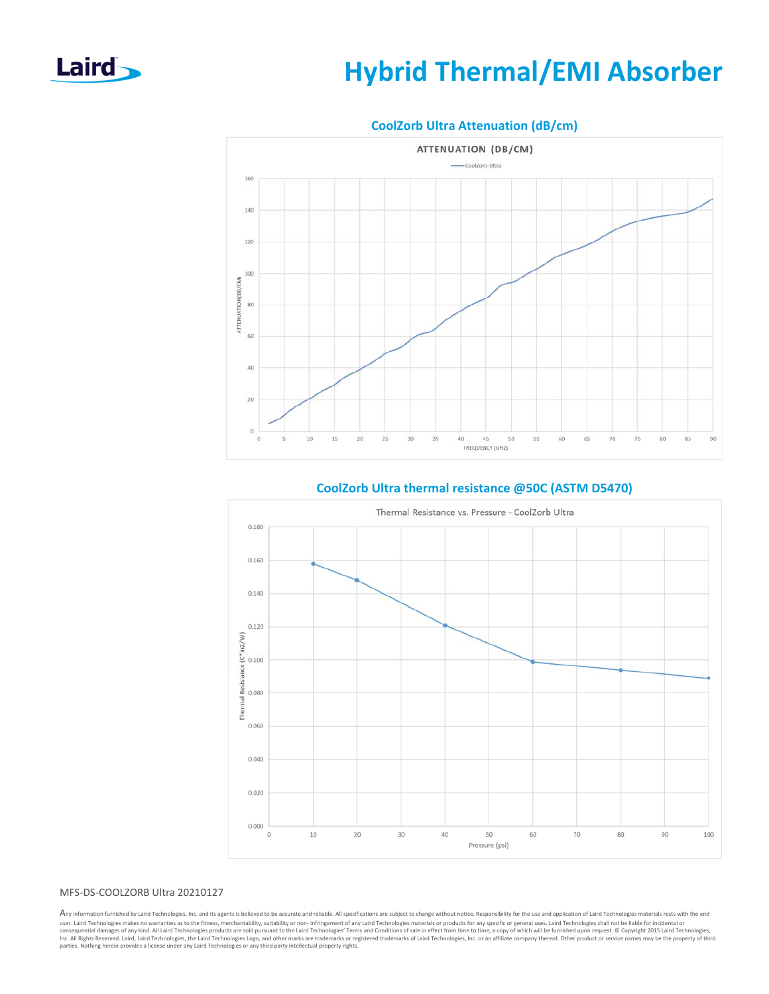

# **Hybrid Thermal/EMI Absorber**



### **CoolZorb Ultra Attenuation (dB/cm)**



## **CoolZorb Ultra thermal resistance @50C (ASTM D5470)**

#### MFS‐DS‐COOLZORB Ultra 20210127

Any information furnished by Laird Technologies, Inc. and its agents is believed to be accurate and reliable. All specifications are subject to change without notice. Responsibility for the use and application of Laird Tec user. Laird Technologies makes no warranties as to the fitness, merchantability, suitability or non- infringement of any Laird Technologies materials or products for any specific or general uses. Laird Technologies shall n